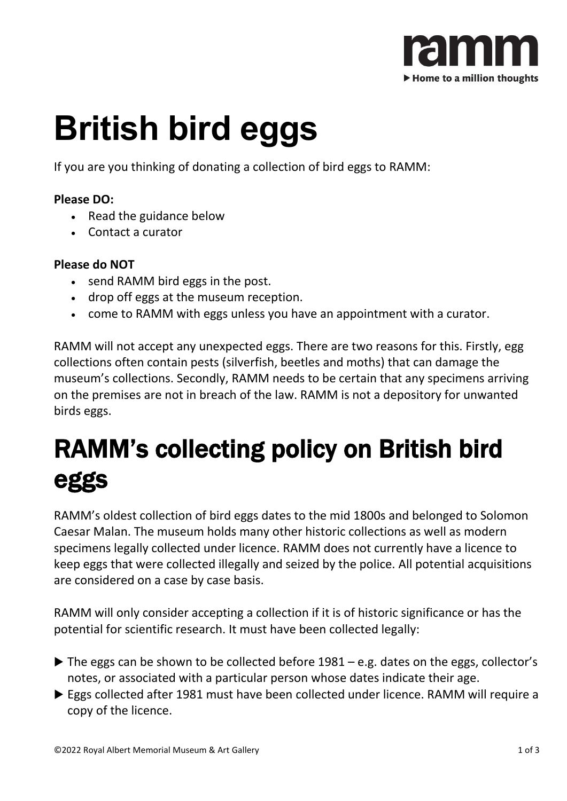

# **British bird eggs**

If you are you thinking of donating a collection of bird eggs to RAMM:

#### **Please DO:**

- Read the guidance below
- Contact a curator

#### **Please do NOT**

- send RAMM bird eggs in the post.
- drop off eggs at the museum reception.
- come to RAMM with eggs unless you have an appointment with a curator.

RAMM will not accept any unexpected eggs. There are two reasons for this. Firstly, egg collections often contain pests (silverfish, beetles and moths) that can damage the museum's collections. Secondly, RAMM needs to be certain that any specimens arriving on the premises are not in breach of the law. RAMM is not a depository for unwanted birds eggs.

#### RAMM's collecting policy on British bird eggs

RAMM's oldest collection of bird eggs dates to the mid 1800s and belonged to Solomon Caesar Malan. The museum holds many other historic collections as well as modern specimens legally collected under licence. RAMM does not currently have a licence to keep eggs that were collected illegally and seized by the police. All potential acquisitions are considered on a case by case basis.

RAMM will only consider accepting a collection if it is of historic significance or has the potential for scientific research. It must have been collected legally:

- $\triangleright$  The eggs can be shown to be collected before 1981 e.g. dates on the eggs, collector's notes, or associated with a particular person whose dates indicate their age.
- Eggs collected after 1981 must have been collected under licence. RAMM will require a copy of the licence.